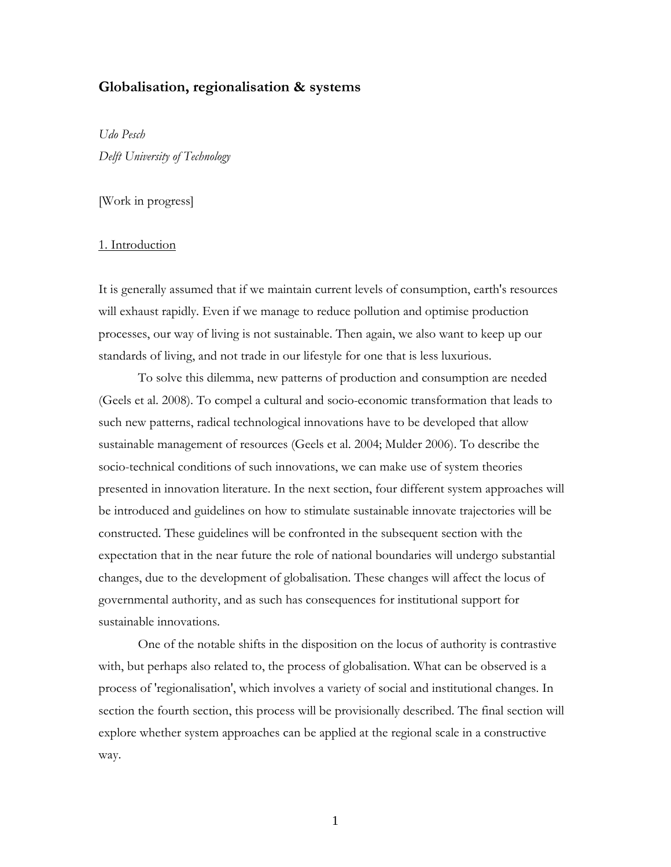## Globalisation, regionalisation & systems

Udo Pesch Delft University of Technology

# [Work in progress]

## 1. Introduction

It is generally assumed that if we maintain current levels of consumption, earth's resources will exhaust rapidly. Even if we manage to reduce pollution and optimise production processes, our way of living is not sustainable. Then again, we also want to keep up our standards of living, and not trade in our lifestyle for one that is less luxurious.

 To solve this dilemma, new patterns of production and consumption are needed (Geels et al. 2008). To compel a cultural and socio-economic transformation that leads to such new patterns, radical technological innovations have to be developed that allow sustainable management of resources (Geels et al. 2004; Mulder 2006). To describe the socio-technical conditions of such innovations, we can make use of system theories presented in innovation literature. In the next section, four different system approaches will be introduced and guidelines on how to stimulate sustainable innovate trajectories will be constructed. These guidelines will be confronted in the subsequent section with the expectation that in the near future the role of national boundaries will undergo substantial changes, due to the development of globalisation. These changes will affect the locus of governmental authority, and as such has consequences for institutional support for sustainable innovations.

 One of the notable shifts in the disposition on the locus of authority is contrastive with, but perhaps also related to, the process of globalisation. What can be observed is a process of 'regionalisation', which involves a variety of social and institutional changes. In section the fourth section, this process will be provisionally described. The final section will explore whether system approaches can be applied at the regional scale in a constructive way.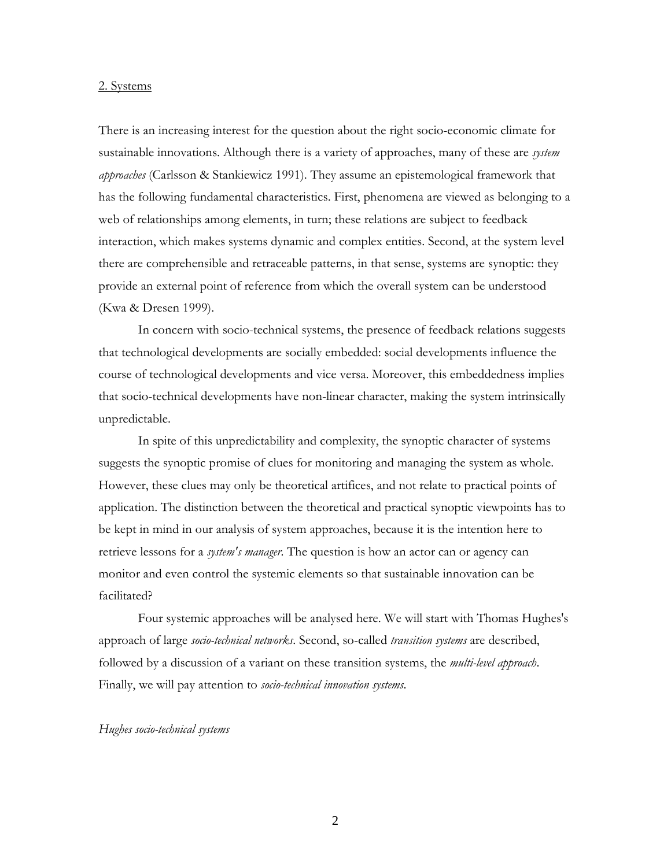### 2. Systems

There is an increasing interest for the question about the right socio-economic climate for sustainable innovations. Although there is a variety of approaches, many of these are *system* approaches (Carlsson & Stankiewicz 1991). They assume an epistemological framework that has the following fundamental characteristics. First, phenomena are viewed as belonging to a web of relationships among elements, in turn; these relations are subject to feedback interaction, which makes systems dynamic and complex entities. Second, at the system level there are comprehensible and retraceable patterns, in that sense, systems are synoptic: they provide an external point of reference from which the overall system can be understood (Kwa & Dresen 1999).

 In concern with socio-technical systems, the presence of feedback relations suggests that technological developments are socially embedded: social developments influence the course of technological developments and vice versa. Moreover, this embeddedness implies that socio-technical developments have non-linear character, making the system intrinsically unpredictable.

 In spite of this unpredictability and complexity, the synoptic character of systems suggests the synoptic promise of clues for monitoring and managing the system as whole. However, these clues may only be theoretical artifices, and not relate to practical points of application. The distinction between the theoretical and practical synoptic viewpoints has to be kept in mind in our analysis of system approaches, because it is the intention here to retrieve lessons for a *system's manager*. The question is how an actor can or agency can monitor and even control the systemic elements so that sustainable innovation can be facilitated?

 Four systemic approaches will be analysed here. We will start with Thomas Hughes's approach of large socio-technical networks. Second, so-called transition systems are described, followed by a discussion of a variant on these transition systems, the *multi-level approach*. Finally, we will pay attention to *socio-technical innovation systems*.

## Hughes socio-technical systems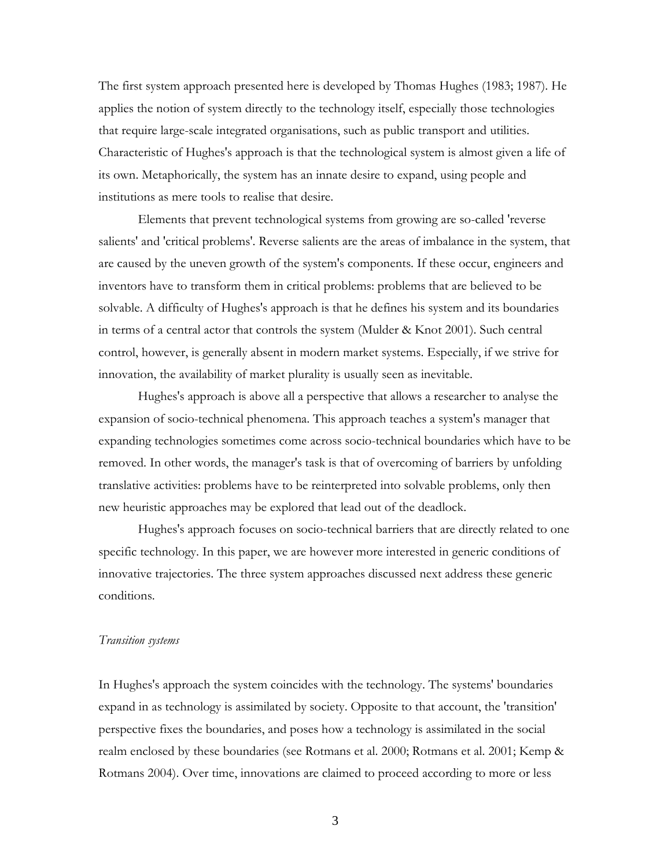The first system approach presented here is developed by Thomas Hughes (1983; 1987). He applies the notion of system directly to the technology itself, especially those technologies that require large-scale integrated organisations, such as public transport and utilities. Characteristic of Hughes's approach is that the technological system is almost given a life of its own. Metaphorically, the system has an innate desire to expand, using people and institutions as mere tools to realise that desire.

 Elements that prevent technological systems from growing are so-called 'reverse salients' and 'critical problems'. Reverse salients are the areas of imbalance in the system, that are caused by the uneven growth of the system's components. If these occur, engineers and inventors have to transform them in critical problems: problems that are believed to be solvable. A difficulty of Hughes's approach is that he defines his system and its boundaries in terms of a central actor that controls the system (Mulder & Knot 2001). Such central control, however, is generally absent in modern market systems. Especially, if we strive for innovation, the availability of market plurality is usually seen as inevitable.

 Hughes's approach is above all a perspective that allows a researcher to analyse the expansion of socio-technical phenomena. This approach teaches a system's manager that expanding technologies sometimes come across socio-technical boundaries which have to be removed. In other words, the manager's task is that of overcoming of barriers by unfolding translative activities: problems have to be reinterpreted into solvable problems, only then new heuristic approaches may be explored that lead out of the deadlock.

 Hughes's approach focuses on socio-technical barriers that are directly related to one specific technology. In this paper, we are however more interested in generic conditions of innovative trajectories. The three system approaches discussed next address these generic conditions.

#### Transition systems

In Hughes's approach the system coincides with the technology. The systems' boundaries expand in as technology is assimilated by society. Opposite to that account, the 'transition' perspective fixes the boundaries, and poses how a technology is assimilated in the social realm enclosed by these boundaries (see Rotmans et al. 2000; Rotmans et al. 2001; Kemp & Rotmans 2004). Over time, innovations are claimed to proceed according to more or less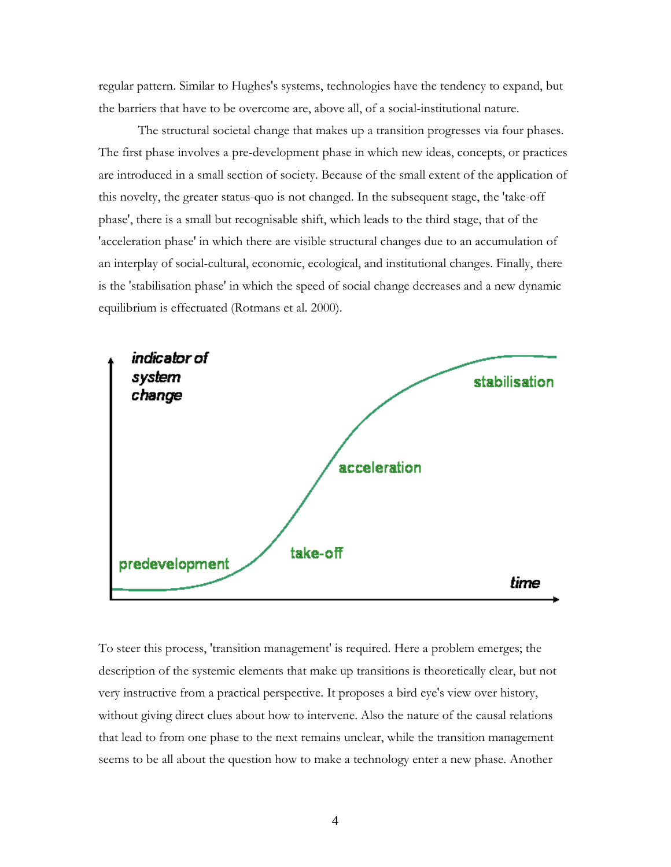regular pattern. Similar to Hughes's systems, technologies have the tendency to expand, but the barriers that have to be overcome are, above all, of a social-institutional nature.

 The structural societal change that makes up a transition progresses via four phases. The first phase involves a pre-development phase in which new ideas, concepts, or practices are introduced in a small section of society. Because of the small extent of the application of this novelty, the greater status-quo is not changed. In the subsequent stage, the 'take-off phase', there is a small but recognisable shift, which leads to the third stage, that of the 'acceleration phase' in which there are visible structural changes due to an accumulation of an interplay of social-cultural, economic, ecological, and institutional changes. Finally, there is the 'stabilisation phase' in which the speed of social change decreases and a new dynamic equilibrium is effectuated (Rotmans et al. 2000).



To steer this process, 'transition management' is required. Here a problem emerges; the description of the systemic elements that make up transitions is theoretically clear, but not very instructive from a practical perspective. It proposes a bird eye's view over history, without giving direct clues about how to intervene. Also the nature of the causal relations that lead to from one phase to the next remains unclear, while the transition management seems to be all about the question how to make a technology enter a new phase. Another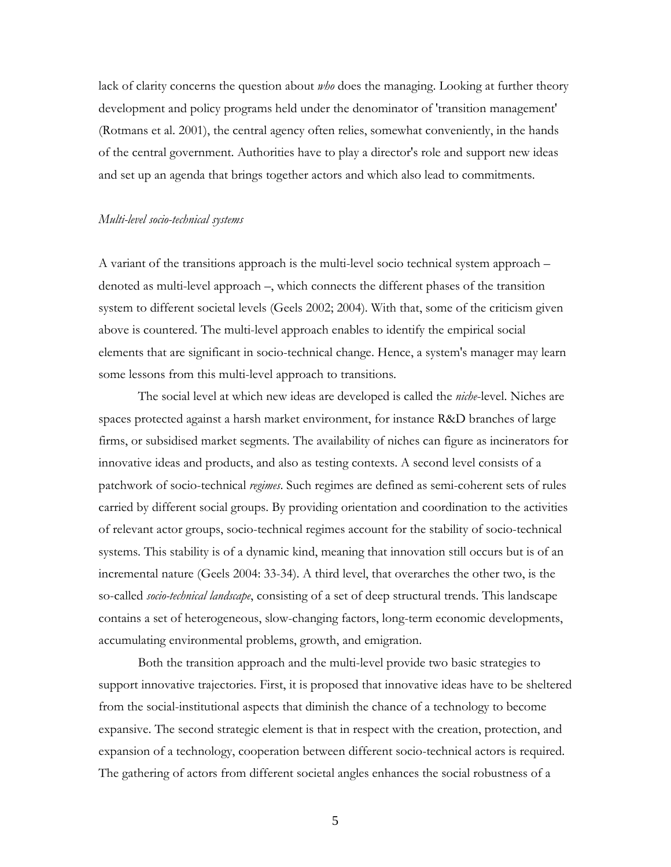lack of clarity concerns the question about *who* does the managing. Looking at further theory development and policy programs held under the denominator of 'transition management' (Rotmans et al. 2001), the central agency often relies, somewhat conveniently, in the hands of the central government. Authorities have to play a director's role and support new ideas and set up an agenda that brings together actors and which also lead to commitments.

### Multi-level socio-technical systems

A variant of the transitions approach is the multi-level socio technical system approach – denoted as multi-level approach –, which connects the different phases of the transition system to different societal levels (Geels 2002; 2004). With that, some of the criticism given above is countered. The multi-level approach enables to identify the empirical social elements that are significant in socio-technical change. Hence, a system's manager may learn some lessons from this multi-level approach to transitions.

The social level at which new ideas are developed is called the *niche*-level. Niches are spaces protected against a harsh market environment, for instance R&D branches of large firms, or subsidised market segments. The availability of niches can figure as incinerators for innovative ideas and products, and also as testing contexts. A second level consists of a patchwork of socio-technical regimes. Such regimes are defined as semi-coherent sets of rules carried by different social groups. By providing orientation and coordination to the activities of relevant actor groups, socio-technical regimes account for the stability of socio-technical systems. This stability is of a dynamic kind, meaning that innovation still occurs but is of an incremental nature (Geels 2004: 33-34). A third level, that overarches the other two, is the so-called socio-technical landscape, consisting of a set of deep structural trends. This landscape contains a set of heterogeneous, slow-changing factors, long-term economic developments, accumulating environmental problems, growth, and emigration.

 Both the transition approach and the multi-level provide two basic strategies to support innovative trajectories. First, it is proposed that innovative ideas have to be sheltered from the social-institutional aspects that diminish the chance of a technology to become expansive. The second strategic element is that in respect with the creation, protection, and expansion of a technology, cooperation between different socio-technical actors is required. The gathering of actors from different societal angles enhances the social robustness of a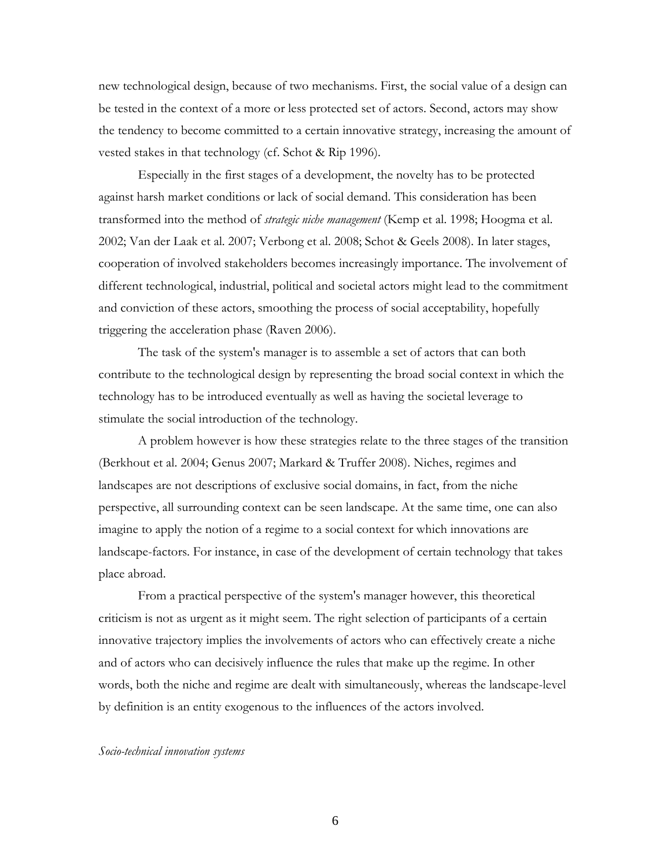new technological design, because of two mechanisms. First, the social value of a design can be tested in the context of a more or less protected set of actors. Second, actors may show the tendency to become committed to a certain innovative strategy, increasing the amount of vested stakes in that technology (cf. Schot & Rip 1996).

 Especially in the first stages of a development, the novelty has to be protected against harsh market conditions or lack of social demand. This consideration has been transformed into the method of *strategic niche management* (Kemp et al. 1998; Hoogma et al. 2002; Van der Laak et al. 2007; Verbong et al. 2008; Schot & Geels 2008). In later stages, cooperation of involved stakeholders becomes increasingly importance. The involvement of different technological, industrial, political and societal actors might lead to the commitment and conviction of these actors, smoothing the process of social acceptability, hopefully triggering the acceleration phase (Raven 2006).

 The task of the system's manager is to assemble a set of actors that can both contribute to the technological design by representing the broad social context in which the technology has to be introduced eventually as well as having the societal leverage to stimulate the social introduction of the technology.

 A problem however is how these strategies relate to the three stages of the transition (Berkhout et al. 2004; Genus 2007; Markard & Truffer 2008). Niches, regimes and landscapes are not descriptions of exclusive social domains, in fact, from the niche perspective, all surrounding context can be seen landscape. At the same time, one can also imagine to apply the notion of a regime to a social context for which innovations are landscape-factors. For instance, in case of the development of certain technology that takes place abroad.

 From a practical perspective of the system's manager however, this theoretical criticism is not as urgent as it might seem. The right selection of participants of a certain innovative trajectory implies the involvements of actors who can effectively create a niche and of actors who can decisively influence the rules that make up the regime. In other words, both the niche and regime are dealt with simultaneously, whereas the landscape-level by definition is an entity exogenous to the influences of the actors involved.

## Socio-technical innovation systems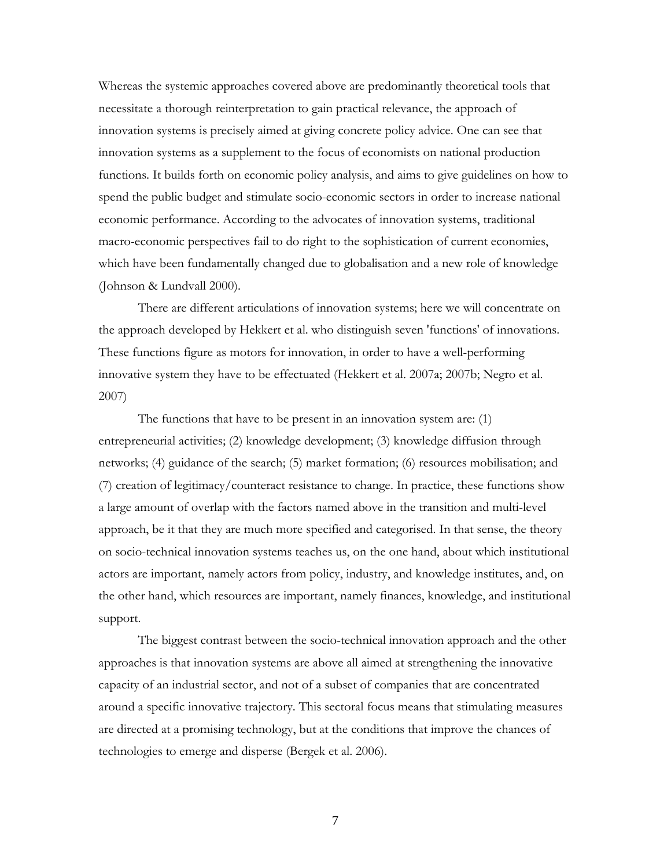Whereas the systemic approaches covered above are predominantly theoretical tools that necessitate a thorough reinterpretation to gain practical relevance, the approach of innovation systems is precisely aimed at giving concrete policy advice. One can see that innovation systems as a supplement to the focus of economists on national production functions. It builds forth on economic policy analysis, and aims to give guidelines on how to spend the public budget and stimulate socio-economic sectors in order to increase national economic performance. According to the advocates of innovation systems, traditional macro-economic perspectives fail to do right to the sophistication of current economies, which have been fundamentally changed due to globalisation and a new role of knowledge (Johnson & Lundvall 2000).

 There are different articulations of innovation systems; here we will concentrate on the approach developed by Hekkert et al. who distinguish seven 'functions' of innovations. These functions figure as motors for innovation, in order to have a well-performing innovative system they have to be effectuated (Hekkert et al. 2007a; 2007b; Negro et al. 2007)

 The functions that have to be present in an innovation system are: (1) entrepreneurial activities; (2) knowledge development; (3) knowledge diffusion through networks; (4) guidance of the search; (5) market formation; (6) resources mobilisation; and (7) creation of legitimacy/counteract resistance to change. In practice, these functions show a large amount of overlap with the factors named above in the transition and multi-level approach, be it that they are much more specified and categorised. In that sense, the theory on socio-technical innovation systems teaches us, on the one hand, about which institutional actors are important, namely actors from policy, industry, and knowledge institutes, and, on the other hand, which resources are important, namely finances, knowledge, and institutional support.

 The biggest contrast between the socio-technical innovation approach and the other approaches is that innovation systems are above all aimed at strengthening the innovative capacity of an industrial sector, and not of a subset of companies that are concentrated around a specific innovative trajectory. This sectoral focus means that stimulating measures are directed at a promising technology, but at the conditions that improve the chances of technologies to emerge and disperse (Bergek et al. 2006).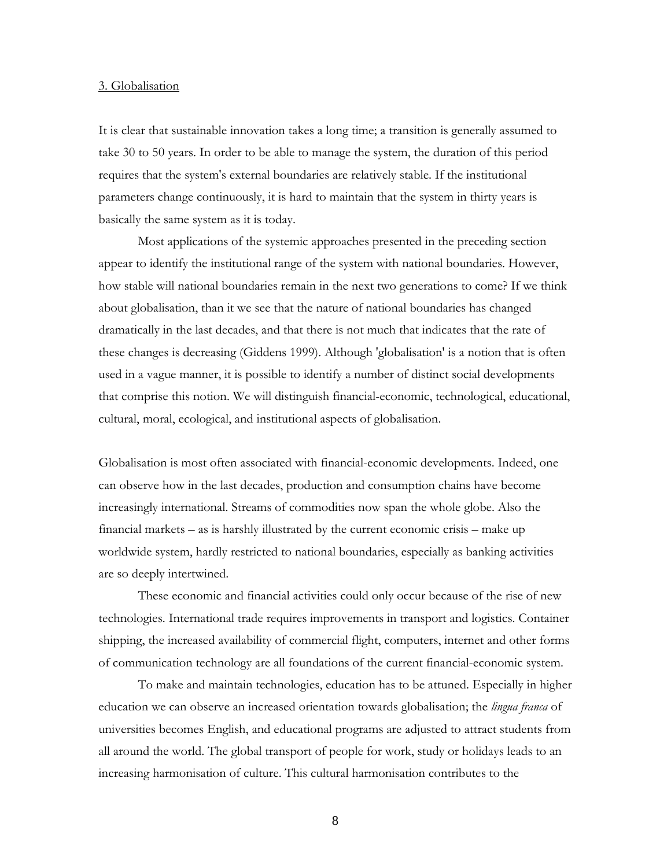#### 3. Globalisation

It is clear that sustainable innovation takes a long time; a transition is generally assumed to take 30 to 50 years. In order to be able to manage the system, the duration of this period requires that the system's external boundaries are relatively stable. If the institutional parameters change continuously, it is hard to maintain that the system in thirty years is basically the same system as it is today.

 Most applications of the systemic approaches presented in the preceding section appear to identify the institutional range of the system with national boundaries. However, how stable will national boundaries remain in the next two generations to come? If we think about globalisation, than it we see that the nature of national boundaries has changed dramatically in the last decades, and that there is not much that indicates that the rate of these changes is decreasing (Giddens 1999). Although 'globalisation' is a notion that is often used in a vague manner, it is possible to identify a number of distinct social developments that comprise this notion. We will distinguish financial-economic, technological, educational, cultural, moral, ecological, and institutional aspects of globalisation.

Globalisation is most often associated with financial-economic developments. Indeed, one can observe how in the last decades, production and consumption chains have become increasingly international. Streams of commodities now span the whole globe. Also the financial markets – as is harshly illustrated by the current economic crisis – make up worldwide system, hardly restricted to national boundaries, especially as banking activities are so deeply intertwined.

 These economic and financial activities could only occur because of the rise of new technologies. International trade requires improvements in transport and logistics. Container shipping, the increased availability of commercial flight, computers, internet and other forms of communication technology are all foundations of the current financial-economic system.

 To make and maintain technologies, education has to be attuned. Especially in higher education we can observe an increased orientation towards globalisation; the *lingua franca* of universities becomes English, and educational programs are adjusted to attract students from all around the world. The global transport of people for work, study or holidays leads to an increasing harmonisation of culture. This cultural harmonisation contributes to the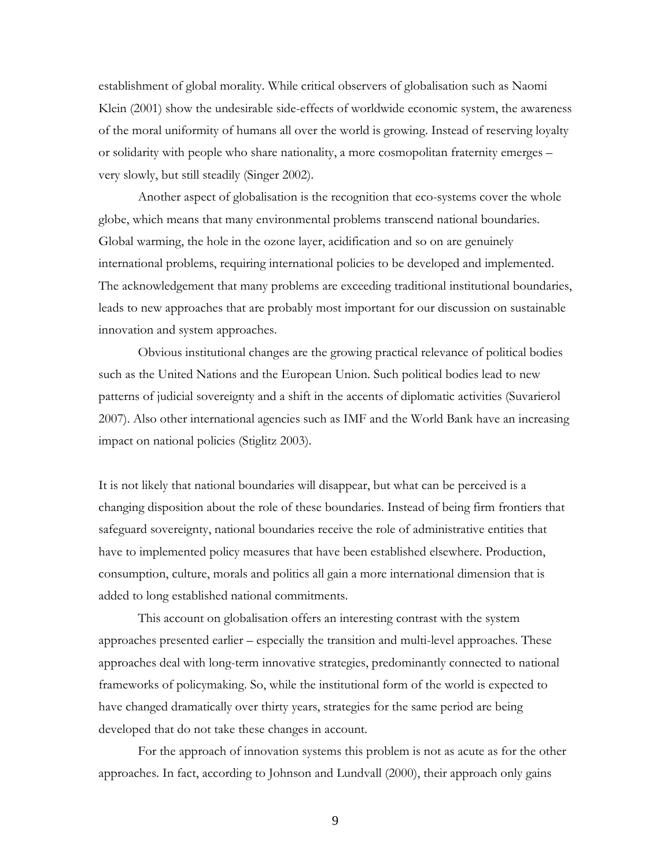establishment of global morality. While critical observers of globalisation such as Naomi Klein (2001) show the undesirable side-effects of worldwide economic system, the awareness of the moral uniformity of humans all over the world is growing. Instead of reserving loyalty or solidarity with people who share nationality, a more cosmopolitan fraternity emerges – very slowly, but still steadily (Singer 2002).

 Another aspect of globalisation is the recognition that eco-systems cover the whole globe, which means that many environmental problems transcend national boundaries. Global warming, the hole in the ozone layer, acidification and so on are genuinely international problems, requiring international policies to be developed and implemented. The acknowledgement that many problems are exceeding traditional institutional boundaries, leads to new approaches that are probably most important for our discussion on sustainable innovation and system approaches.

 Obvious institutional changes are the growing practical relevance of political bodies such as the United Nations and the European Union. Such political bodies lead to new patterns of judicial sovereignty and a shift in the accents of diplomatic activities (Suvarierol 2007). Also other international agencies such as IMF and the World Bank have an increasing impact on national policies (Stiglitz 2003).

It is not likely that national boundaries will disappear, but what can be perceived is a changing disposition about the role of these boundaries. Instead of being firm frontiers that safeguard sovereignty, national boundaries receive the role of administrative entities that have to implemented policy measures that have been established elsewhere. Production, consumption, culture, morals and politics all gain a more international dimension that is added to long established national commitments.

 This account on globalisation offers an interesting contrast with the system approaches presented earlier – especially the transition and multi-level approaches. These approaches deal with long-term innovative strategies, predominantly connected to national frameworks of policymaking. So, while the institutional form of the world is expected to have changed dramatically over thirty years, strategies for the same period are being developed that do not take these changes in account.

 For the approach of innovation systems this problem is not as acute as for the other approaches. In fact, according to Johnson and Lundvall (2000), their approach only gains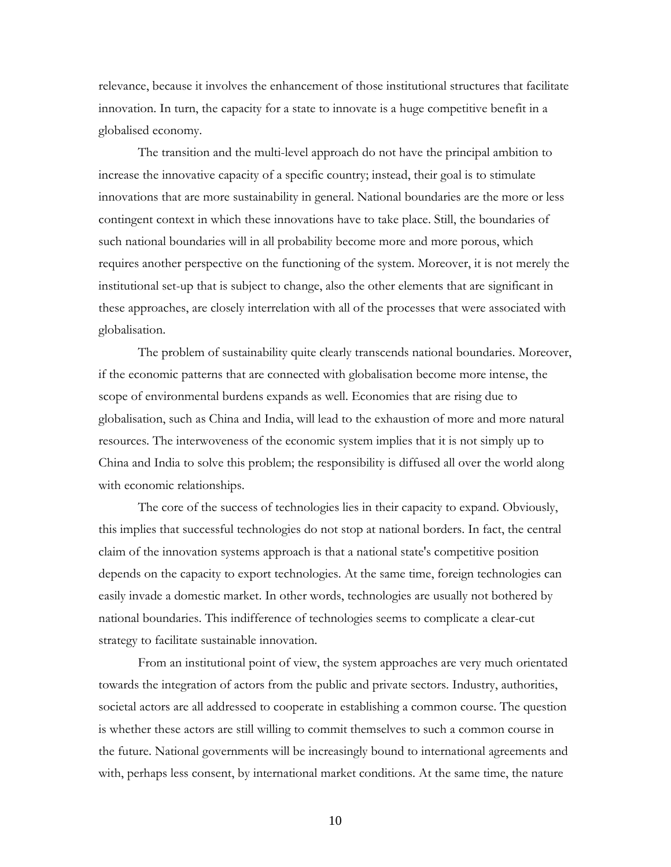relevance, because it involves the enhancement of those institutional structures that facilitate innovation. In turn, the capacity for a state to innovate is a huge competitive benefit in a globalised economy.

 The transition and the multi-level approach do not have the principal ambition to increase the innovative capacity of a specific country; instead, their goal is to stimulate innovations that are more sustainability in general. National boundaries are the more or less contingent context in which these innovations have to take place. Still, the boundaries of such national boundaries will in all probability become more and more porous, which requires another perspective on the functioning of the system. Moreover, it is not merely the institutional set-up that is subject to change, also the other elements that are significant in these approaches, are closely interrelation with all of the processes that were associated with globalisation.

 The problem of sustainability quite clearly transcends national boundaries. Moreover, if the economic patterns that are connected with globalisation become more intense, the scope of environmental burdens expands as well. Economies that are rising due to globalisation, such as China and India, will lead to the exhaustion of more and more natural resources. The interwoveness of the economic system implies that it is not simply up to China and India to solve this problem; the responsibility is diffused all over the world along with economic relationships.

 The core of the success of technologies lies in their capacity to expand. Obviously, this implies that successful technologies do not stop at national borders. In fact, the central claim of the innovation systems approach is that a national state's competitive position depends on the capacity to export technologies. At the same time, foreign technologies can easily invade a domestic market. In other words, technologies are usually not bothered by national boundaries. This indifference of technologies seems to complicate a clear-cut strategy to facilitate sustainable innovation.

 From an institutional point of view, the system approaches are very much orientated towards the integration of actors from the public and private sectors. Industry, authorities, societal actors are all addressed to cooperate in establishing a common course. The question is whether these actors are still willing to commit themselves to such a common course in the future. National governments will be increasingly bound to international agreements and with, perhaps less consent, by international market conditions. At the same time, the nature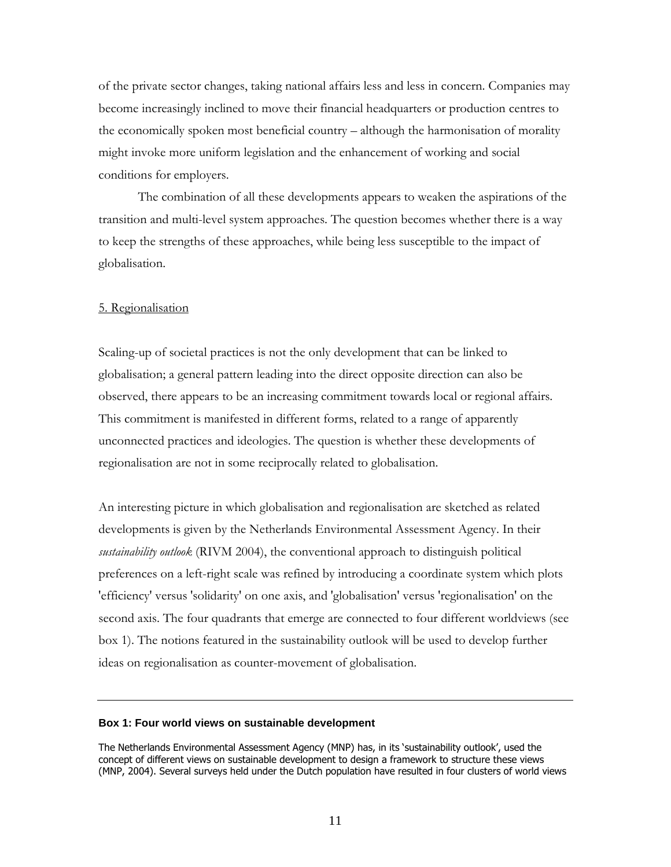of the private sector changes, taking national affairs less and less in concern. Companies may become increasingly inclined to move their financial headquarters or production centres to the economically spoken most beneficial country – although the harmonisation of morality might invoke more uniform legislation and the enhancement of working and social conditions for employers.

 The combination of all these developments appears to weaken the aspirations of the transition and multi-level system approaches. The question becomes whether there is a way to keep the strengths of these approaches, while being less susceptible to the impact of globalisation.

## 5. Regionalisation

Scaling-up of societal practices is not the only development that can be linked to globalisation; a general pattern leading into the direct opposite direction can also be observed, there appears to be an increasing commitment towards local or regional affairs. This commitment is manifested in different forms, related to a range of apparently unconnected practices and ideologies. The question is whether these developments of regionalisation are not in some reciprocally related to globalisation.

An interesting picture in which globalisation and regionalisation are sketched as related developments is given by the Netherlands Environmental Assessment Agency. In their sustainability outlook (RIVM 2004), the conventional approach to distinguish political preferences on a left-right scale was refined by introducing a coordinate system which plots 'efficiency' versus 'solidarity' on one axis, and 'globalisation' versus 'regionalisation' on the second axis. The four quadrants that emerge are connected to four different worldviews (see box 1). The notions featured in the sustainability outlook will be used to develop further ideas on regionalisation as counter-movement of globalisation.

#### **Box 1: Four world views on sustainable development**

The Netherlands Environmental Assessment Agency (MNP) has, in its 'sustainability outlook', used the concept of different views on sustainable development to design a framework to structure these views (MNP, 2004). Several surveys held under the Dutch population have resulted in four clusters of world views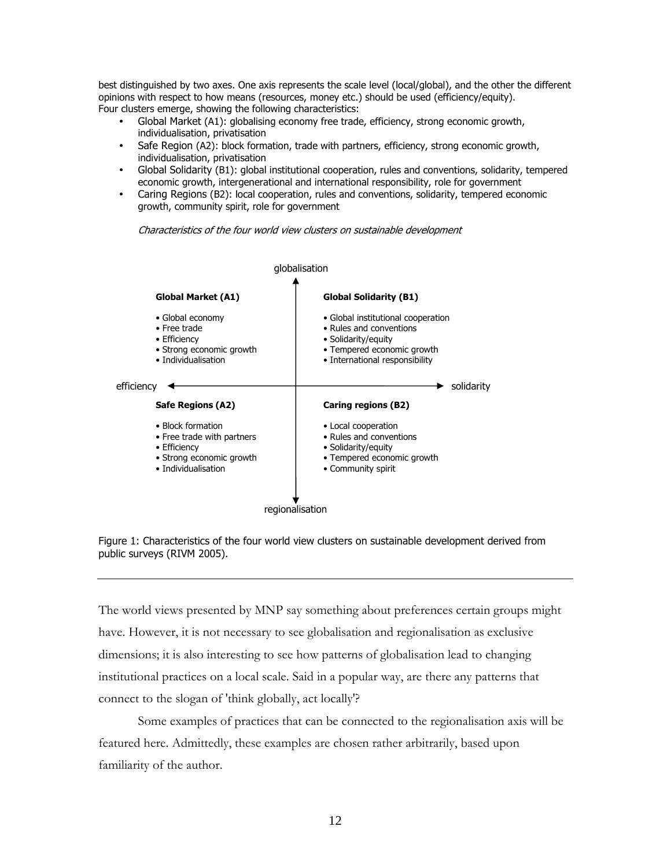best distinguished by two axes. One axis represents the scale level (local/global), and the other the different opinions with respect to how means (resources, money etc.) should be used (efficiency/equity). Four clusters emerge, showing the following characteristics:

- Global Market (A1): globalising economy free trade, efficiency, strong economic growth, individualisation, privatisation
- Safe Region (A2): block formation, trade with partners, efficiency, strong economic growth, individualisation, privatisation
- Global Solidarity (B1): global institutional cooperation, rules and conventions, solidarity, tempered economic growth, intergenerational and international responsibility, role for government
- Caring Regions (B2): local cooperation, rules and conventions, solidarity, tempered economic growth, community spirit, role for government

Characteristics of the four world view clusters on sustainable development





The world views presented by MNP say something about preferences certain groups might have. However, it is not necessary to see globalisation and regionalisation as exclusive dimensions; it is also interesting to see how patterns of globalisation lead to changing institutional practices on a local scale. Said in a popular way, are there any patterns that connect to the slogan of 'think globally, act locally'?

 Some examples of practices that can be connected to the regionalisation axis will be featured here. Admittedly, these examples are chosen rather arbitrarily, based upon familiarity of the author.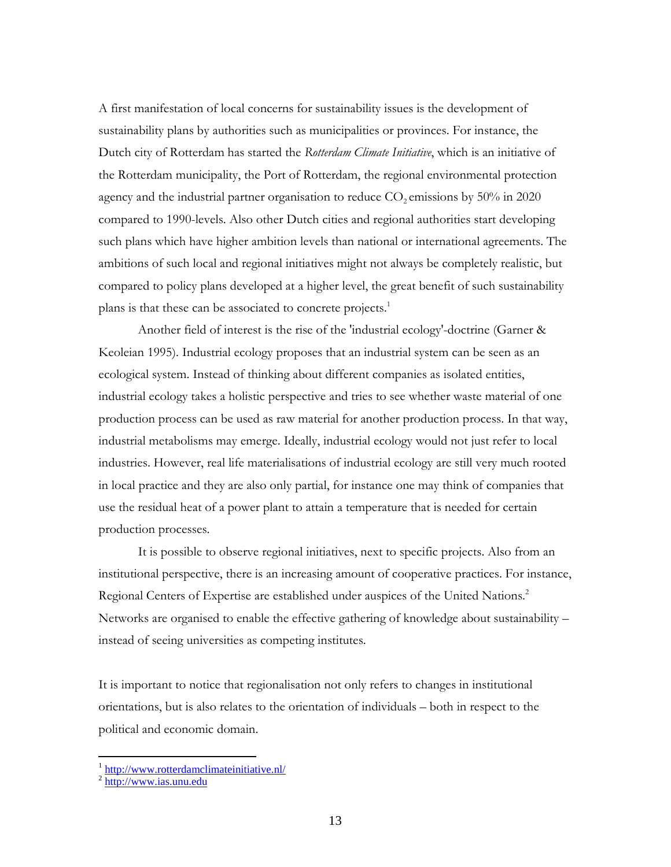A first manifestation of local concerns for sustainability issues is the development of sustainability plans by authorities such as municipalities or provinces. For instance, the Dutch city of Rotterdam has started the Rotterdam Climate Initiative, which is an initiative of the Rotterdam municipality, the Port of Rotterdam, the regional environmental protection agency and the industrial partner organisation to reduce  $CO<sub>2</sub>$  emissions by 50% in 2020 compared to 1990-levels. Also other Dutch cities and regional authorities start developing such plans which have higher ambition levels than national or international agreements. The ambitions of such local and regional initiatives might not always be completely realistic, but compared to policy plans developed at a higher level, the great benefit of such sustainability plans is that these can be associated to concrete projects.<sup>1</sup>

 Another field of interest is the rise of the 'industrial ecology'-doctrine (Garner & Keoleian 1995). Industrial ecology proposes that an industrial system can be seen as an ecological system. Instead of thinking about different companies as isolated entities, industrial ecology takes a holistic perspective and tries to see whether waste material of one production process can be used as raw material for another production process. In that way, industrial metabolisms may emerge. Ideally, industrial ecology would not just refer to local industries. However, real life materialisations of industrial ecology are still very much rooted in local practice and they are also only partial, for instance one may think of companies that use the residual heat of a power plant to attain a temperature that is needed for certain production processes.

 It is possible to observe regional initiatives, next to specific projects. Also from an institutional perspective, there is an increasing amount of cooperative practices. For instance, Regional Centers of Expertise are established under auspices of the United Nations.<sup>2</sup> Networks are organised to enable the effective gathering of knowledge about sustainability – instead of seeing universities as competing institutes.

It is important to notice that regionalisation not only refers to changes in institutional orientations, but is also relates to the orientation of individuals – both in respect to the political and economic domain.

<sup>1&</sup>lt;br><sup>1</sup> http://www.rotterdamclimateinitiative.nl/

 $2 \frac{http://www.ias.unu.edu}{http://www.ias.unu.edu}$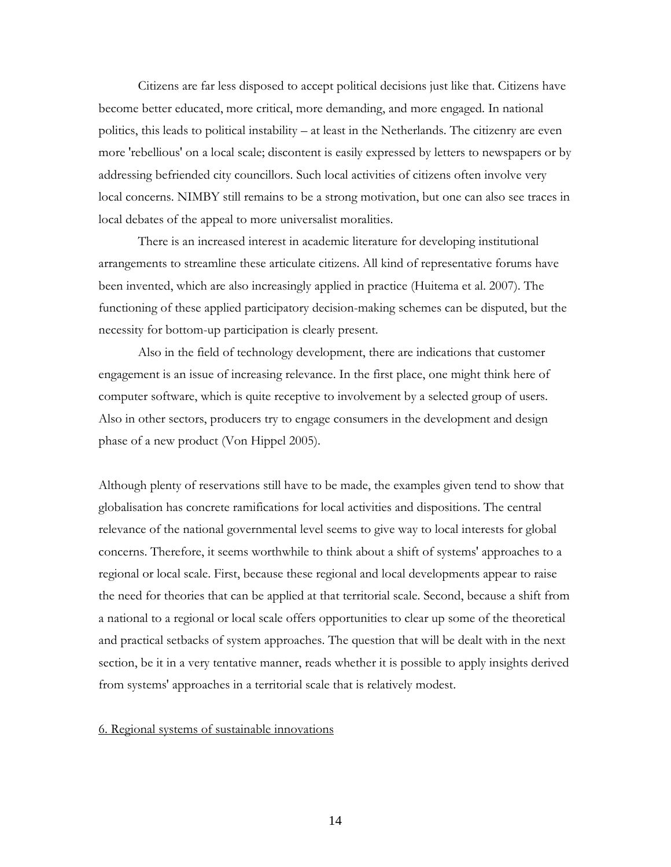Citizens are far less disposed to accept political decisions just like that. Citizens have become better educated, more critical, more demanding, and more engaged. In national politics, this leads to political instability – at least in the Netherlands. The citizenry are even more 'rebellious' on a local scale; discontent is easily expressed by letters to newspapers or by addressing befriended city councillors. Such local activities of citizens often involve very local concerns. NIMBY still remains to be a strong motivation, but one can also see traces in local debates of the appeal to more universalist moralities.

 There is an increased interest in academic literature for developing institutional arrangements to streamline these articulate citizens. All kind of representative forums have been invented, which are also increasingly applied in practice (Huitema et al. 2007). The functioning of these applied participatory decision-making schemes can be disputed, but the necessity for bottom-up participation is clearly present.

 Also in the field of technology development, there are indications that customer engagement is an issue of increasing relevance. In the first place, one might think here of computer software, which is quite receptive to involvement by a selected group of users. Also in other sectors, producers try to engage consumers in the development and design phase of a new product (Von Hippel 2005).

Although plenty of reservations still have to be made, the examples given tend to show that globalisation has concrete ramifications for local activities and dispositions. The central relevance of the national governmental level seems to give way to local interests for global concerns. Therefore, it seems worthwhile to think about a shift of systems' approaches to a regional or local scale. First, because these regional and local developments appear to raise the need for theories that can be applied at that territorial scale. Second, because a shift from a national to a regional or local scale offers opportunities to clear up some of the theoretical and practical setbacks of system approaches. The question that will be dealt with in the next section, be it in a very tentative manner, reads whether it is possible to apply insights derived from systems' approaches in a territorial scale that is relatively modest.

## 6. Regional systems of sustainable innovations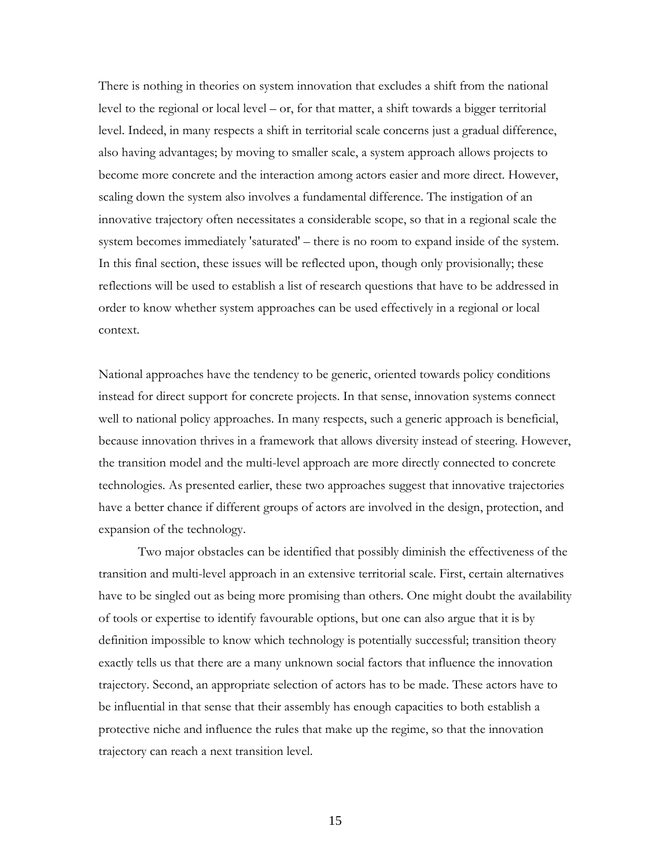There is nothing in theories on system innovation that excludes a shift from the national level to the regional or local level – or, for that matter, a shift towards a bigger territorial level. Indeed, in many respects a shift in territorial scale concerns just a gradual difference, also having advantages; by moving to smaller scale, a system approach allows projects to become more concrete and the interaction among actors easier and more direct. However, scaling down the system also involves a fundamental difference. The instigation of an innovative trajectory often necessitates a considerable scope, so that in a regional scale the system becomes immediately 'saturated' – there is no room to expand inside of the system. In this final section, these issues will be reflected upon, though only provisionally; these reflections will be used to establish a list of research questions that have to be addressed in order to know whether system approaches can be used effectively in a regional or local context.

National approaches have the tendency to be generic, oriented towards policy conditions instead for direct support for concrete projects. In that sense, innovation systems connect well to national policy approaches. In many respects, such a generic approach is beneficial, because innovation thrives in a framework that allows diversity instead of steering. However, the transition model and the multi-level approach are more directly connected to concrete technologies. As presented earlier, these two approaches suggest that innovative trajectories have a better chance if different groups of actors are involved in the design, protection, and expansion of the technology.

 Two major obstacles can be identified that possibly diminish the effectiveness of the transition and multi-level approach in an extensive territorial scale. First, certain alternatives have to be singled out as being more promising than others. One might doubt the availability of tools or expertise to identify favourable options, but one can also argue that it is by definition impossible to know which technology is potentially successful; transition theory exactly tells us that there are a many unknown social factors that influence the innovation trajectory. Second, an appropriate selection of actors has to be made. These actors have to be influential in that sense that their assembly has enough capacities to both establish a protective niche and influence the rules that make up the regime, so that the innovation trajectory can reach a next transition level.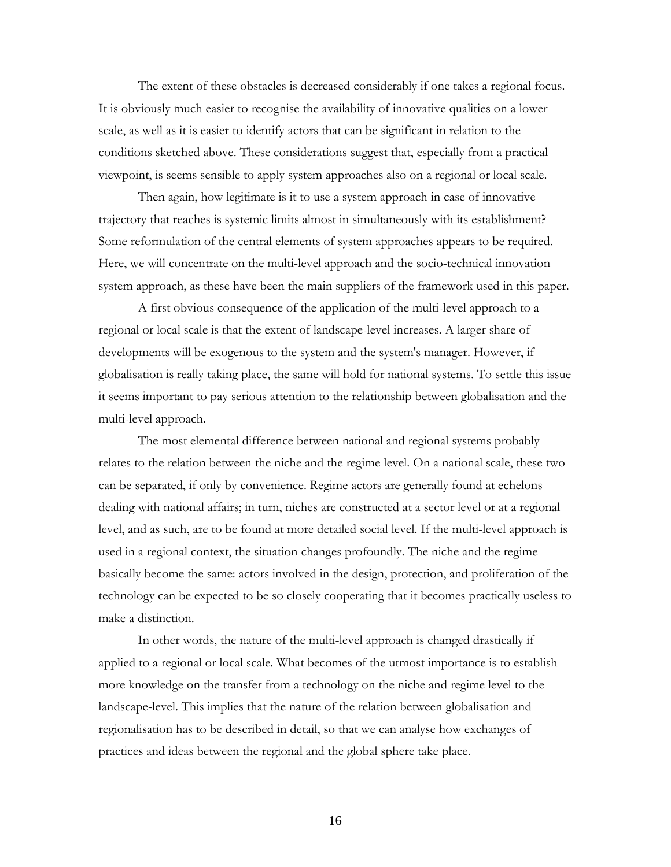The extent of these obstacles is decreased considerably if one takes a regional focus. It is obviously much easier to recognise the availability of innovative qualities on a lower scale, as well as it is easier to identify actors that can be significant in relation to the conditions sketched above. These considerations suggest that, especially from a practical viewpoint, is seems sensible to apply system approaches also on a regional or local scale.

Then again, how legitimate is it to use a system approach in case of innovative trajectory that reaches is systemic limits almost in simultaneously with its establishment? Some reformulation of the central elements of system approaches appears to be required. Here, we will concentrate on the multi-level approach and the socio-technical innovation system approach, as these have been the main suppliers of the framework used in this paper.

 A first obvious consequence of the application of the multi-level approach to a regional or local scale is that the extent of landscape-level increases. A larger share of developments will be exogenous to the system and the system's manager. However, if globalisation is really taking place, the same will hold for national systems. To settle this issue it seems important to pay serious attention to the relationship between globalisation and the multi-level approach.

 The most elemental difference between national and regional systems probably relates to the relation between the niche and the regime level. On a national scale, these two can be separated, if only by convenience. Regime actors are generally found at echelons dealing with national affairs; in turn, niches are constructed at a sector level or at a regional level, and as such, are to be found at more detailed social level. If the multi-level approach is used in a regional context, the situation changes profoundly. The niche and the regime basically become the same: actors involved in the design, protection, and proliferation of the technology can be expected to be so closely cooperating that it becomes practically useless to make a distinction.

 In other words, the nature of the multi-level approach is changed drastically if applied to a regional or local scale. What becomes of the utmost importance is to establish more knowledge on the transfer from a technology on the niche and regime level to the landscape-level. This implies that the nature of the relation between globalisation and regionalisation has to be described in detail, so that we can analyse how exchanges of practices and ideas between the regional and the global sphere take place.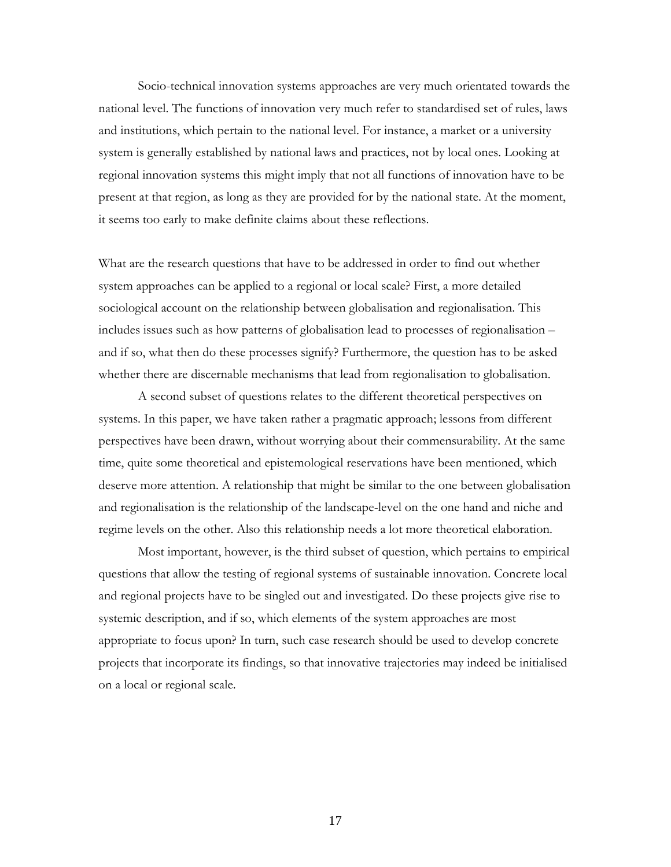Socio-technical innovation systems approaches are very much orientated towards the national level. The functions of innovation very much refer to standardised set of rules, laws and institutions, which pertain to the national level. For instance, a market or a university system is generally established by national laws and practices, not by local ones. Looking at regional innovation systems this might imply that not all functions of innovation have to be present at that region, as long as they are provided for by the national state. At the moment, it seems too early to make definite claims about these reflections.

What are the research questions that have to be addressed in order to find out whether system approaches can be applied to a regional or local scale? First, a more detailed sociological account on the relationship between globalisation and regionalisation. This includes issues such as how patterns of globalisation lead to processes of regionalisation – and if so, what then do these processes signify? Furthermore, the question has to be asked whether there are discernable mechanisms that lead from regionalisation to globalisation.

 A second subset of questions relates to the different theoretical perspectives on systems. In this paper, we have taken rather a pragmatic approach; lessons from different perspectives have been drawn, without worrying about their commensurability. At the same time, quite some theoretical and epistemological reservations have been mentioned, which deserve more attention. A relationship that might be similar to the one between globalisation and regionalisation is the relationship of the landscape-level on the one hand and niche and regime levels on the other. Also this relationship needs a lot more theoretical elaboration.

 Most important, however, is the third subset of question, which pertains to empirical questions that allow the testing of regional systems of sustainable innovation. Concrete local and regional projects have to be singled out and investigated. Do these projects give rise to systemic description, and if so, which elements of the system approaches are most appropriate to focus upon? In turn, such case research should be used to develop concrete projects that incorporate its findings, so that innovative trajectories may indeed be initialised on a local or regional scale.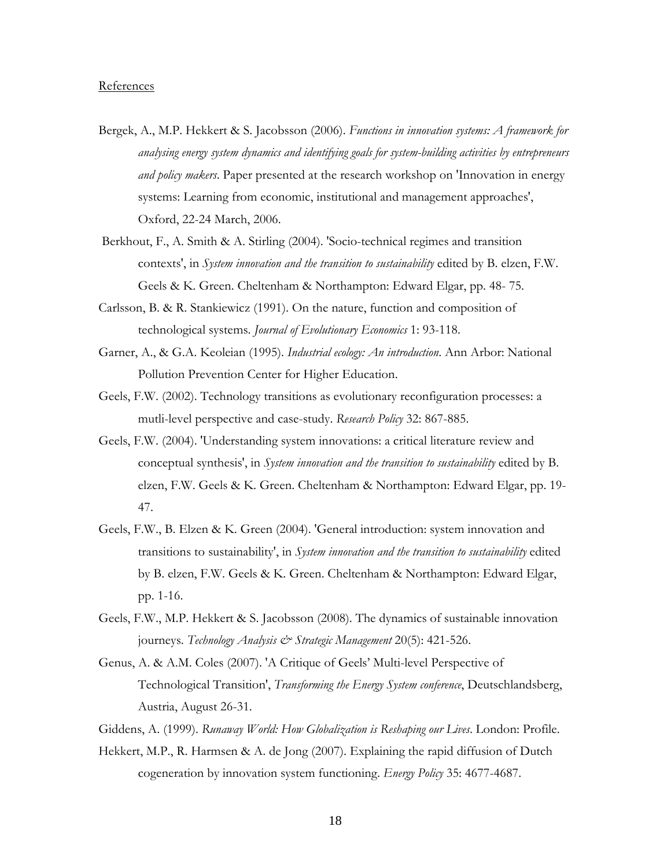## References

- Bergek, A., M.P. Hekkert & S. Jacobsson (2006). Functions in innovation systems: A framework for analysing energy system dynamics and identifying goals for system-building activities by entrepreneurs and policy makers. Paper presented at the research workshop on 'Innovation in energy systems: Learning from economic, institutional and management approaches', Oxford, 22-24 March, 2006.
- Berkhout, F., A. Smith & A. Stirling (2004). 'Socio-technical regimes and transition contexts', in System innovation and the transition to sustainability edited by B. elzen, F.W. Geels & K. Green. Cheltenham & Northampton: Edward Elgar, pp. 48- 75.
- Carlsson, B. & R. Stankiewicz (1991). On the nature, function and composition of technological systems. Journal of Evolutionary Economics 1: 93-118.
- Garner, A., & G.A. Keoleian (1995). Industrial ecology: An introduction. Ann Arbor: National Pollution Prevention Center for Higher Education.
- Geels, F.W. (2002). Technology transitions as evolutionary reconfiguration processes: a mutli-level perspective and case-study. Research Policy 32: 867-885.
- Geels, F.W. (2004). 'Understanding system innovations: a critical literature review and conceptual synthesis', in System innovation and the transition to sustainability edited by B. elzen, F.W. Geels & K. Green. Cheltenham & Northampton: Edward Elgar, pp. 19- 47.
- Geels, F.W., B. Elzen & K. Green (2004). 'General introduction: system innovation and transitions to sustainability', in System innovation and the transition to sustainability edited by B. elzen, F.W. Geels & K. Green. Cheltenham & Northampton: Edward Elgar, pp. 1-16.
- Geels, F.W., M.P. Hekkert & S. Jacobsson (2008). The dynamics of sustainable innovation journeys. Technology Analysis & Strategic Management 20(5): 421-526.
- Genus, A. & A.M. Coles (2007). 'A Critique of Geels' Multi-level Perspective of Technological Transition', Transforming the Energy System conference, Deutschlandsberg, Austria, August 26-31.
- Giddens, A. (1999). Runaway World: How Globalization is Reshaping our Lives. London: Profile.
- Hekkert, M.P., R. Harmsen & A. de Jong (2007). Explaining the rapid diffusion of Dutch cogeneration by innovation system functioning. Energy Policy 35: 4677-4687.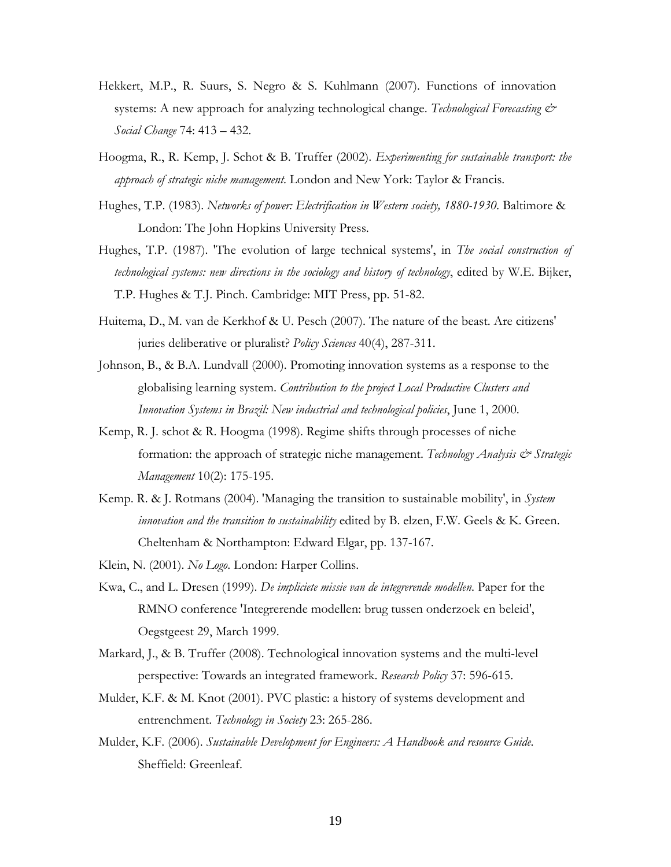- Hekkert, M.P., R. Suurs, S. Negro & S. Kuhlmann (2007). Functions of innovation systems: A new approach for analyzing technological change. Technological Forecasting  $\mathcal{O}^*$ Social Change 74: 413 – 432.
- Hoogma, R., R. Kemp, J. Schot & B. Truffer (2002). Experimenting for sustainable transport: the approach of strategic niche management. London and New York: Taylor & Francis.
- Hughes, T.P. (1983). Networks of power: Electrification in Western society, 1880-1930. Baltimore & London: The John Hopkins University Press.
- Hughes, T.P. (1987). 'The evolution of large technical systems', in The social construction of technological systems: new directions in the sociology and history of technology, edited by W.E. Bijker, T.P. Hughes & T.J. Pinch. Cambridge: MIT Press, pp. 51-82.
- Huitema, D., M. van de Kerkhof & U. Pesch (2007). The nature of the beast. Are citizens' juries deliberative or pluralist? Policy Sciences 40(4), 287-311.
- Johnson, B., & B.A. Lundvall (2000). Promoting innovation systems as a response to the globalising learning system. Contribution to the project Local Productive Clusters and Innovation Systems in Brazil: New industrial and technological policies, June 1, 2000.
- Kemp, R. J. schot & R. Hoogma (1998). Regime shifts through processes of niche formation: the approach of strategic niche management. Technology Analysis & Strategic Management 10(2): 175-195.
- Kemp. R. & J. Rotmans (2004). 'Managing the transition to sustainable mobility', in System innovation and the transition to sustainability edited by B. elzen, F.W. Geels & K. Green. Cheltenham & Northampton: Edward Elgar, pp. 137-167.
- Klein, N. (2001). No Logo. London: Harper Collins.
- Kwa, C., and L. Dresen (1999). De impliciete missie van de integrerende modellen. Paper for the RMNO conference 'Integrerende modellen: brug tussen onderzoek en beleid', Oegstgeest 29, March 1999.
- Markard, J., & B. Truffer (2008). Technological innovation systems and the multi-level perspective: Towards an integrated framework. Research Policy 37: 596-615.
- Mulder, K.F. & M. Knot (2001). PVC plastic: a history of systems development and entrenchment. Technology in Society 23: 265-286.
- Mulder, K.F. (2006). Sustainable Development for Engineers: A Handbook and resource Guide. Sheffield: Greenleaf.